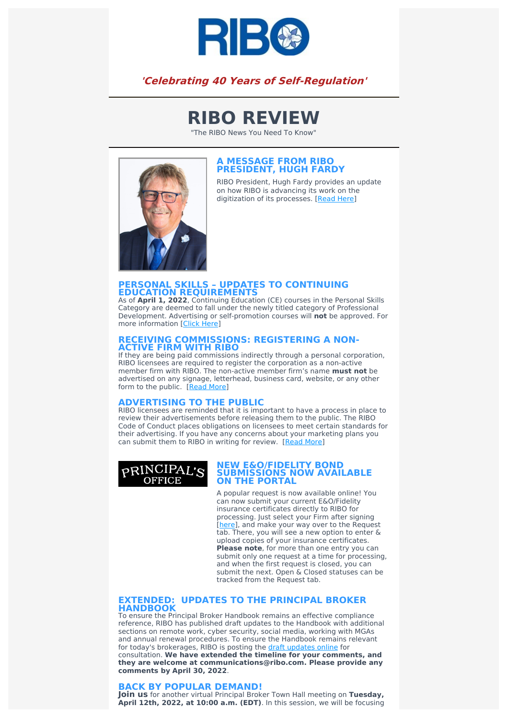

## **'Celebrating 40 Years of Self-Regulation'**

# **RIBO REVIEW**

"The RIBO News You Need To Know"



#### **A MESSAGE FROM RIBO PRESIDENT, HUGH FARDY**

RIBO President, Hugh Fardy provides an update on how RIBO is advancing its work on the digitization of its processes. [\[Read](https://www.ribo.com/message-from-president/) Here]

### **PERSONAL SKILLS – UPDATES TO CONTINUING EDUCATION REQUIREMENTS** As of **April 1, 2022**, Continuing Education (CE) courses in the Personal Skills

Category are deemed to fall under the newly titled category of Professional Development. Advertising or self-promotion courses will **not** be approved. For more information [Click [Here\]](https://www.ribo.com/updates-to-ce/)

# **RECEIVING COMMISSIONS: REGISTERING <sup>A</sup> NON- ACTIVE FIRM WITH RIBO** If they are being paid commissions indirectly through a personal corporation,

RIBO licensees are required to register the corporation as a non-active member firm with RIBO. The non-active member firm's name **must not** be advertised on any signage, letterhead, business card, website, or any other form to the public. [\[Read](https://www.ribo.com/receiving-commissions-non-active/) More]

#### **ADVERTISING TO THE PUBLIC**

RIBO licensees are reminded that it is important to have a process in place to review their advertisements before releasing them to the public. The RIBO Code of Conduct places obligations on licensees to meet certain standards for their advertising. If you have any concerns about your marketing plans you can submit them to RIBO in writing for review. [Read [More\]](https://www.ribo.com/advertising-to-the-public/)



#### **NEW E&O/FIDELITY BOND SUBMISSIONS NOW AVAILABLE ON THE PORTAL**

A popular request is now available online! You can now submit your current E&O/Fidelity insurance certificates directly to RIBO for processing. Just select your Firm after signing [[here\]](https://membership.ribo.com/ThinClient/Public/LogOn/EN/#/forms/new/?table=0x8000000000000174&form=0x8000000000000026&command=0x8000000000000BD0), and make your way over to the Request tab. There, you will see a new option to enter & upload copies of your insurance certificates. **Please note**, for more than one entry you can submit only one request at a time for processing, and when the first request is closed, you can submit the next. Open & Closed statuses can be tracked from the Request tab.

#### **EXTENDED: UPDATES TO THE PRINCIPAL BROKER HANDBOOK**

To ensure the Principal Broker Handbook remains an effective compliance reference, RIBO has published draft updates to the Handbook with additional sections on remote work, cyber security, social media, working with MGAs and annual renewal procedures. To ensure the Handbook remains relevant for today's brokerages, RIBO is posting the draft [updates](https://www.ribo.com/consultation-on-the-principal-broker-handbook/) online for consultation. **We have extended the timeline for your comments, and they are welcome at communications@ribo.com. Please provide any comments by April 30, 2022**.

#### **BACK BY POPULAR DEMAND!**

**Join us** for another virtual Principal Broker Town Hall meeting on **Tuesday, April 12th, 2022, at 10:00 a.m. (EDT)**. In this session, we will be focusing